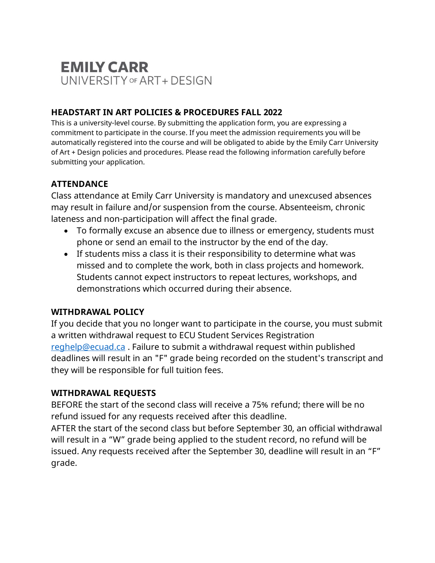# **EMILY CARR** UNIVERSITY OF ART + DESIGN

# **HEADSTART IN ART POLICIES & PROCEDURES FALL 2022**

This is a university-level course. By submitting the application form, you are expressing a commitment to participate in the course. If you meet the admission requirements you will be automatically registered into the course and will be obligated to abide by the Emily Carr University of Art + Design policies and procedures. Please read the following information carefully before submitting your application.

## **ATTENDANCE**

Class attendance at Emily Carr University is mandatory and unexcused absences may result in failure and/or suspension from the course. Absenteeism, chronic lateness and non-participation will affect the final grade.

- To formally excuse an absence due to illness or emergency, students must phone or send an email to the instructor by the end of the day.
- If students miss a class it is their responsibility to determine what was missed and to complete the work, both in class projects and homework. Students cannot expect instructors to repeat lectures, workshops, and demonstrations which occurred during their absence.

### **WITHDRAWAL POLICY**

If you decide that you no longer want to participate in the course, you must submit a written withdrawal request to ECU Student Services Registration [reghelp@ecuad.ca](mailto:reghelp@ecuad.ca) . Failure to submit a withdrawal request within published deadlines will result in an "F" grade being recorded on the student's transcript and they will be responsible for full tuition fees.

### **WITHDRAWAL REQUESTS**

BEFORE the start of the second class will receive a 75% refund; there will be no refund issued for any requests received after this deadline.

AFTER the start of the second class but before September 30, an official withdrawal will result in a "W" grade being applied to the student record, no refund will be issued. Any requests received after the September 30, deadline will result in an "F" grade.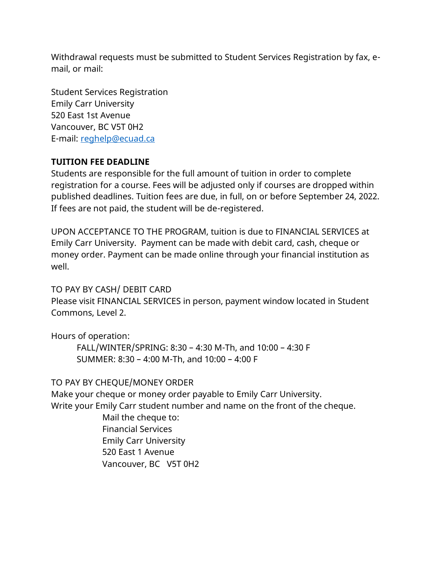Withdrawal requests must be submitted to Student Services Registration by fax, email, or mail:

Student Services Registration Emily Carr University 520 East 1st Avenue Vancouver, BC V5T 0H2 E-mail: [reghelp@ecuad.ca](mailto:reghelp@ecuad.ca)

### **TUITION FEE DEADLINE**

Students are responsible for the full amount of tuition in order to complete registration for a course. Fees will be adjusted only if courses are dropped within published deadlines. Tuition fees are due, in full, on or before September 24, 2022. If fees are not paid, the student will be de-registered.

UPON ACCEPTANCE TO THE PROGRAM, tuition is due to FINANCIAL SERVICES at Emily Carr University. Payment can be made with debit card, cash, cheque or money order. Payment can be made online through your financial institution as well.

### TO PAY BY CASH/ DEBIT CARD

Please visit FINANCIAL SERVICES in person, payment window located in Student Commons, Level 2.

Hours of operation:

FALL/WINTER/SPRING: 8:30 – 4:30 M-Th, and 10:00 – 4:30 F SUMMER: 8:30 – 4:00 M-Th, and 10:00 – 4:00 F

TO PAY BY CHEQUE/MONEY ORDER

Make your cheque or money order payable to Emily Carr University. Write your Emily Carr student number and name on the front of the cheque.

Mail the cheque to: Financial Services Emily Carr University 520 East 1 Avenue Vancouver, BC V5T 0H2